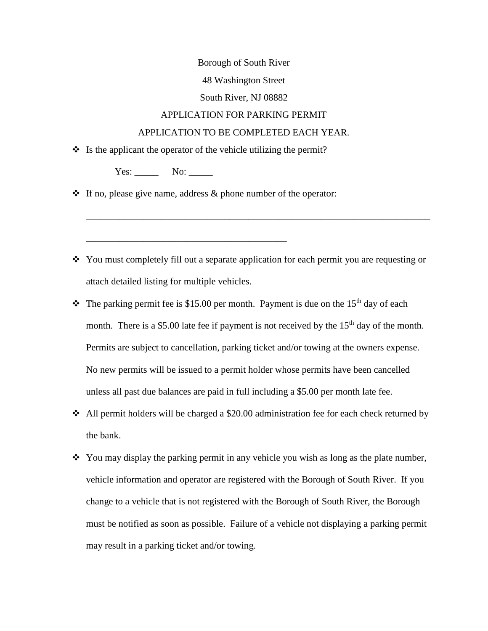#### Borough of South River

### 48 Washington Street

#### South River, NJ 08882

## APPLICATION FOR PARKING PERMIT

### APPLICATION TO BE COMPLETED EACH YEAR.

 $\cdot \cdot$  Is the applicant the operator of the vehicle utilizing the permit?

Yes: \_\_\_\_\_\_\_ No: \_\_\_\_

 $\cdot \cdot$  If no, please give name, address & phone number of the operator:

 You must completely fill out a separate application for each permit you are requesting or attach detailed listing for multiple vehicles.

\_\_\_\_\_\_\_\_\_\_\_\_\_\_\_\_\_\_\_\_\_\_\_\_\_\_\_\_\_\_\_\_\_\_\_\_\_\_\_\_\_\_\_\_\_\_\_\_\_\_\_\_\_\_\_\_\_\_\_\_\_\_\_\_\_\_\_\_\_\_\_\_

- $\cdot \cdot$  The parking permit fee is \$15.00 per month. Payment is due on the 15<sup>th</sup> day of each month. There is a \$5.00 late fee if payment is not received by the  $15<sup>th</sup>$  day of the month. Permits are subject to cancellation, parking ticket and/or towing at the owners expense. No new permits will be issued to a permit holder whose permits have been cancelled unless all past due balances are paid in full including a \$5.00 per month late fee.
- $\triangleleft$  All permit holders will be charged a \$20.00 administration fee for each check returned by the bank.
- $\cdot$  You may display the parking permit in any vehicle you wish as long as the plate number, vehicle information and operator are registered with the Borough of South River. If you change to a vehicle that is not registered with the Borough of South River, the Borough must be notified as soon as possible. Failure of a vehicle not displaying a parking permit may result in a parking ticket and/or towing.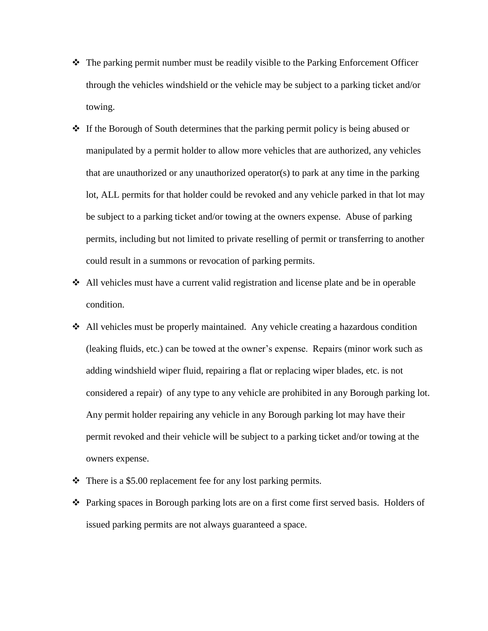- The parking permit number must be readily visible to the Parking Enforcement Officer through the vehicles windshield or the vehicle may be subject to a parking ticket and/or towing.
- $\cdot \cdot$  If the Borough of South determines that the parking permit policy is being abused or manipulated by a permit holder to allow more vehicles that are authorized, any vehicles that are unauthorized or any unauthorized operator(s) to park at any time in the parking lot, ALL permits for that holder could be revoked and any vehicle parked in that lot may be subject to a parking ticket and/or towing at the owners expense. Abuse of parking permits, including but not limited to private reselling of permit or transferring to another could result in a summons or revocation of parking permits.
- All vehicles must have a current valid registration and license plate and be in operable condition.
- All vehicles must be properly maintained. Any vehicle creating a hazardous condition (leaking fluids, etc.) can be towed at the owner's expense. Repairs (minor work such as adding windshield wiper fluid, repairing a flat or replacing wiper blades, etc. is not considered a repair) of any type to any vehicle are prohibited in any Borough parking lot. Any permit holder repairing any vehicle in any Borough parking lot may have their permit revoked and their vehicle will be subject to a parking ticket and/or towing at the owners expense.
- $\div$  There is a \$5.00 replacement fee for any lost parking permits.
- Parking spaces in Borough parking lots are on a first come first served basis. Holders of issued parking permits are not always guaranteed a space.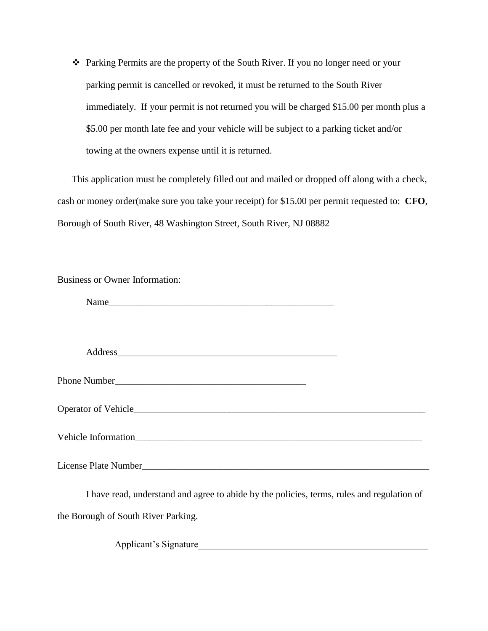Parking Permits are the property of the South River. If you no longer need or your parking permit is cancelled or revoked, it must be returned to the South River immediately. If your permit is not returned you will be charged \$15.00 per month plus a \$5.00 per month late fee and your vehicle will be subject to a parking ticket and/or towing at the owners expense until it is returned.

This application must be completely filled out and mailed or dropped off along with a check, cash or money order(make sure you take your receipt) for \$15.00 per permit requested to: **CFO**, Borough of South River, 48 Washington Street, South River, NJ 08882

| <b>Business or Owner Information:</b>                                                      |  |
|--------------------------------------------------------------------------------------------|--|
|                                                                                            |  |
|                                                                                            |  |
|                                                                                            |  |
|                                                                                            |  |
|                                                                                            |  |
|                                                                                            |  |
|                                                                                            |  |
| I have read, understand and agree to abide by the policies, terms, rules and regulation of |  |

the Borough of South River Parking.

Applicant's Signature\_\_\_\_\_\_\_\_\_\_\_\_\_\_\_\_\_\_\_\_\_\_\_\_\_\_\_\_\_\_\_\_\_\_\_\_\_\_\_\_\_\_\_\_\_\_\_\_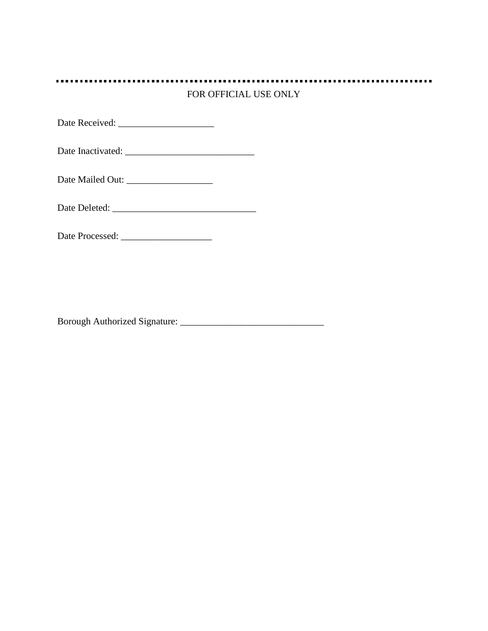# FOR OFFICIAL USE ONLY

Date Received: \_\_\_\_\_\_\_\_\_\_\_\_\_\_\_\_\_\_\_\_

Date Inactivated: \_\_\_\_\_\_\_\_\_\_\_\_\_\_\_\_\_\_\_\_\_\_\_\_\_\_\_

Date Mailed Out: \_\_\_\_\_\_\_\_\_\_\_\_\_\_\_\_\_\_

Date Deleted: \_\_\_\_\_\_\_\_\_\_\_\_\_\_\_\_\_\_\_\_\_\_\_\_\_\_\_\_\_\_

Date Processed: \_\_\_\_\_\_\_\_\_\_\_\_\_\_\_\_\_\_\_

Borough Authorized Signature: \_\_\_\_\_\_\_\_\_\_\_\_\_\_\_\_\_\_\_\_\_\_\_\_\_\_\_\_\_\_